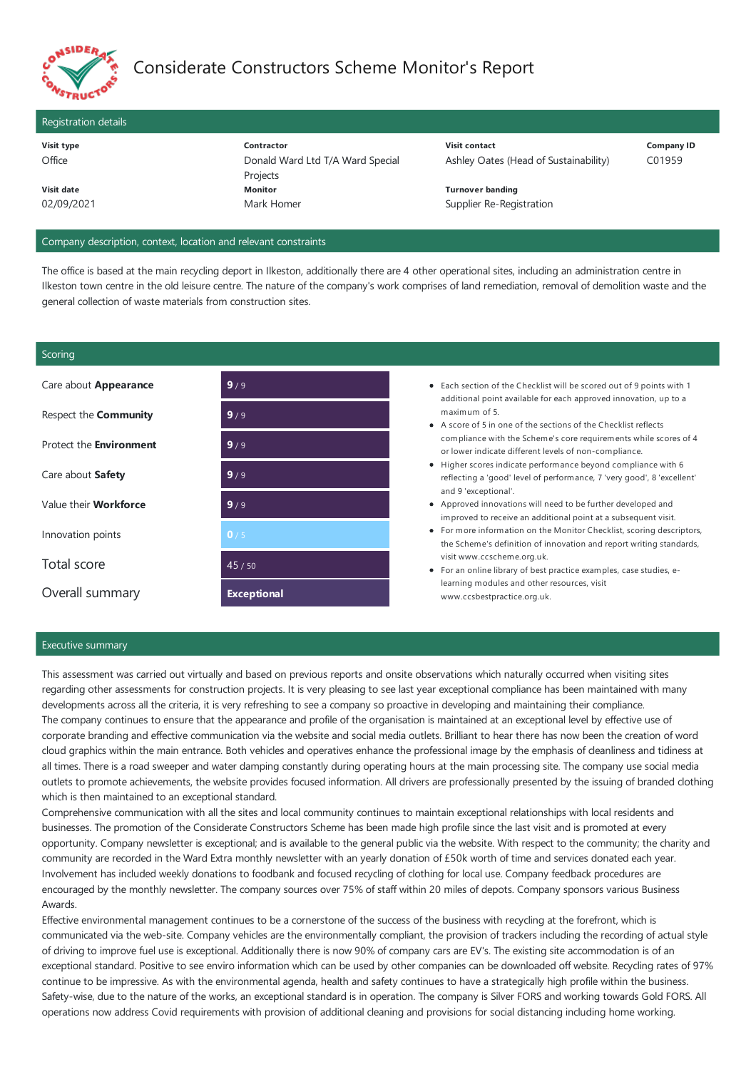

# Considerate Constructors Scheme Monitor's Report

# Registration details **Visit type**

**Contractor** Donald Ward Ltd T/A Ward Special Projects **Visit contact** 02/09/2021 **Monitor** Mark Homer **Turnover banding**

Ashley Oates (Head of Sustainability)

**Company ID** C01959

Supplier Re-Registration

# Company description, context, location and relevant constraints

The office is based at the main recycling deport in Ilkeston, additionally there are 4 other operational sites, including an administration centre in Ilkeston town centre in the old leisure centre. The nature of the company's work comprises of land remediation, removal of demolition waste and the general collection of waste materials from construction sites.

# **Scoring**

**Office** 

**Visit date**

| Care about <b>Appearance</b>   | 9/9                | • Each section of the Checklist will be scored out of 9 points with 1<br>additional point available for each approved innovation, up to a<br>maximum of 5.<br>• A score of 5 in one of the sections of the Checklist reflects<br>compliance with the Scheme's core requirements while scores of 4<br>or lower indicate different levels of non-compliance.<br>• Higher scores indicate performance beyond compliance with 6<br>reflecting a 'good' level of performance, 7 'very good', 8 'excellent'<br>and 9 'exceptional'.<br>• Approved innovations will need to be further developed and<br>improved to receive an additional point at a subsequent visit.<br>• For more information on the Monitor Checklist, scoring descriptors,<br>the Scheme's definition of innovation and report writing standards,<br>visit www.ccscheme.org.uk.<br>• For an online library of best practice examples, case studies, e-<br>learning modules and other resources, visit<br>www.ccsbestpractice.org.uk. |
|--------------------------------|--------------------|----------------------------------------------------------------------------------------------------------------------------------------------------------------------------------------------------------------------------------------------------------------------------------------------------------------------------------------------------------------------------------------------------------------------------------------------------------------------------------------------------------------------------------------------------------------------------------------------------------------------------------------------------------------------------------------------------------------------------------------------------------------------------------------------------------------------------------------------------------------------------------------------------------------------------------------------------------------------------------------------------|
| Respect the <b>Community</b>   | 9/9                |                                                                                                                                                                                                                                                                                                                                                                                                                                                                                                                                                                                                                                                                                                                                                                                                                                                                                                                                                                                                    |
| Protect the <b>Environment</b> | 9/9                |                                                                                                                                                                                                                                                                                                                                                                                                                                                                                                                                                                                                                                                                                                                                                                                                                                                                                                                                                                                                    |
| Care about Safety              | 9/9                |                                                                                                                                                                                                                                                                                                                                                                                                                                                                                                                                                                                                                                                                                                                                                                                                                                                                                                                                                                                                    |
| Value their <b>Workforce</b>   | 9/9                |                                                                                                                                                                                                                                                                                                                                                                                                                                                                                                                                                                                                                                                                                                                                                                                                                                                                                                                                                                                                    |
| Innovation points              | 0/5                |                                                                                                                                                                                                                                                                                                                                                                                                                                                                                                                                                                                                                                                                                                                                                                                                                                                                                                                                                                                                    |
| Total score                    | 45/50              |                                                                                                                                                                                                                                                                                                                                                                                                                                                                                                                                                                                                                                                                                                                                                                                                                                                                                                                                                                                                    |
| Overall summary                | <b>Exceptional</b> |                                                                                                                                                                                                                                                                                                                                                                                                                                                                                                                                                                                                                                                                                                                                                                                                                                                                                                                                                                                                    |

# Executive summary

This assessment was carried out virtually and based on previous reports and onsite observations which naturally occurred when visiting sites regarding other assessments for construction projects. It is very pleasing to seelast year exceptional compliance has been maintained with many developments across all the criteria, it is very refreshing to see a company so proactive in developing and maintaining their compliance. The company continues to ensure that the appearance and profile of the organisation is maintained at an exceptional level by effective use of corporate branding and effective communication via the website and social media outlets. Brilliant to hear there has now been the creation of word cloud graphics within the main entrance. Both vehicles and operatives enhance the professional image by the emphasis of cleanliness and tidiness at all times. There is a road sweeper and water damping constantly during operating hours at the main processing site. The company use social media outlets to promote achievements, the website provides focused information. All drivers are professionally presented by the issuing of branded clothing which is then maintained to an exceptional standard.

Comprehensive communication with all the sites and local community continues to maintain exceptional relationships with local residents and businesses. The promotion of the Considerate Constructors Scheme has been made high profile since the last visit and is promoted at every opportunity. Company newsletter is exceptional; and is availableto the general public via the website. With respect to thecommunity; thecharity and community are recorded in the Ward Extra monthly newsletter with an yearly donation of £50k worth of time and services donated each year. Involvement has included weekly donations to foodbank and focused recycling of clothing for local use. Company feedback procedures are encouraged by the monthly newsletter. The company sources over 75% of staff within 20 miles of depots. Company sponsors various Business Awards.

Effective environmental management continues to be a cornerstone of the success of the business with recycling at the forefront, which is communicated via the web-site. Company vehicles are the environmentally compliant, the provision of trackers including the recording of actual style of driving to improve fuel use is exceptional. Additionally there is now 90% of company cars are EV's. The existing site accommodation is of an exceptional standard. Positive to see enviro information which can be used by other companies can be downloaded off website. Recycling rates of 97% continue to be impressive. As with the environmental agenda, health and safety continues to have a strategically high profile within the business. Safety-wise, due to the nature of the works, an exceptional standard is in operation. The company is Silver FORS and working towards Gold FORS. All operations now address Covid requirements with provision ofadditional cleaning and provisions for social distancing including home working.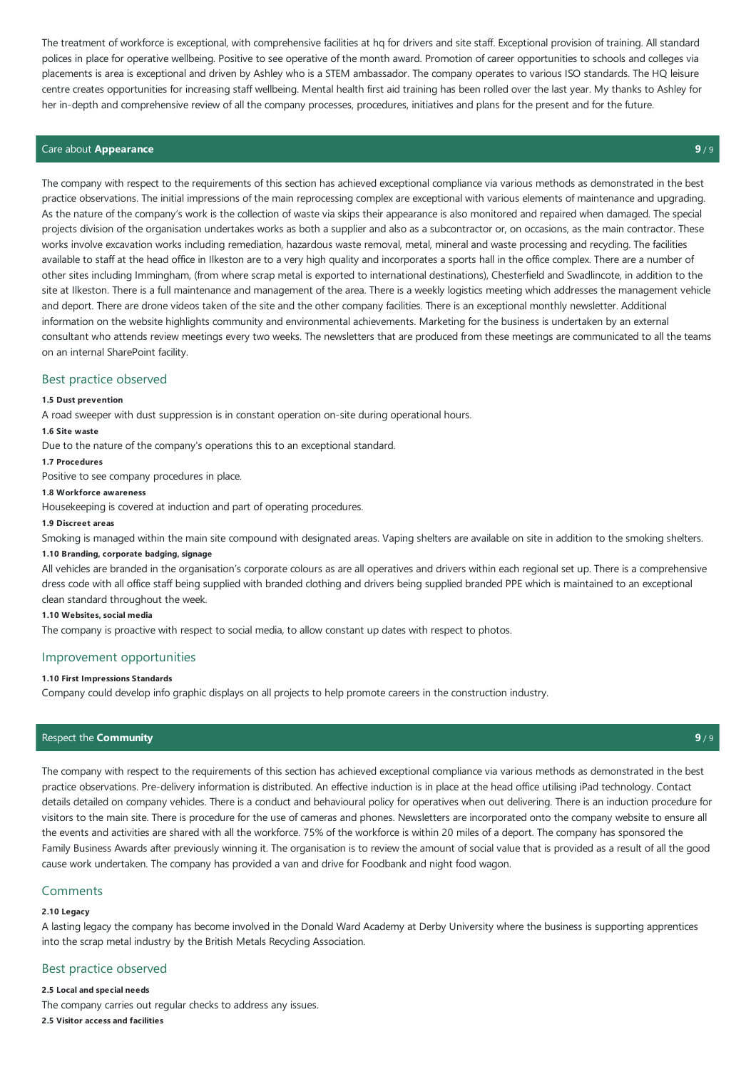The treatment of workforce is exceptional, with comprehensive facilities at hq for drivers and site staff. Exceptional provision of training. All standard polices in place for operative wellbeing. Positive to see operative of the month award. Promotion of career opportunities to schools and colleges via placements is area is exceptional and driven by Ashley who is a STEM ambassador. The company operates to various ISO standards. The HQ leisure centre creates opportunities for increasing staff wellbeing. Mental health first aid training has been rolled over the last year. My thanks to Ashley for her in-depth and comprehensive review of all the company processes, procedures, initiatives and plans for the present and for the future.

# Careabout **Appearance 9** / 9

The company with respect to the requirements of this section has achieved exceptional compliance via various methods as demonstrated in the best practice observations. The initial impressions of the main reprocessing complex are exceptional with various elements of maintenance and upgrading. As the nature of the company's work is the collection of waste via skips their appearance is also monitored and repaired when damaged. The special projects division of the organisation undertakes works as both a supplier and also as a subcontractor or, on occasions, as the main contractor. These works involve excavation works including remediation, hazardous waste removal, metal, mineral and waste processing and recycling. The facilities available to staff at the head office in Ilkeston are to a very high quality and incorporates a sports hall in the office complex. There are a number of other sites including Immingham, (from where scrap metal is exported to international destinations), Chesterfield and Swadlincote, in addition to the site at Ilkeston. There is a full maintenance and management of the area. There is a weekly logistics meeting which addresses the management vehicle and deport. There are drone videos taken of the site and the other company facilities. There is an exceptional monthly newsletter. Additional information on the website highlights community and environmental achievements. Marketing for the business is undertaken by an external consultant who attends review meetings every two weeks. The newsletters that are produced from these meetings arecommunicated to all theteams on an internal SharePoint facility.

# Best practice observed

#### **1.5 Dust prevention**

A road sweeper with dust suppression is in constant operation on-site during operational hours.

#### **1.6 Site waste**

Due to the nature of the company's operations this to an exceptional standard.

#### **1.7 Procedures**

Positive to see company procedures in place.

#### **1.8 Workforce awareness**

Housekeeping is covered at induction and part of operating procedures.

#### **1.9 Discreet areas**

Smoking is managed within the main site compound with designated areas. Vaping shelters are available on site in addition to the smoking shelters.

#### **1.10 Branding, corporate badging, signage**

All vehicles are branded in the organisation's corporate colours as are all operatives and drivers within each regional set up. There is a comprehensive dress code with all office staff being supplied with branded clothing and drivers being supplied branded PPE which is maintained to an exceptional clean standard throughout the week.

#### **1.10 Websites, social media**

The company is proactive with respect to social media, to allow constant up dates with respect to photos.

# Improvement opportunities

#### **1.10 First Impressions Standards**

Company could develop info graphic displays on all projects to help promote careers in the construction industry.

# Respect the **Community 9** / 9

The company with respect to the requirements of this section has achieved exceptional compliance via various methods as demonstrated in the best practice observations. Pre-delivery information is distributed. An effective induction is in place at the head office utilising iPad technology. Contact details detailed on company vehicles. There is a conduct and behavioural policy for operatives when out delivering. There is an induction procedure for visitors to the main site. There is procedure for the use of cameras and phones. Newsletters are incorporated onto the company website to ensure all the events and activities are shared with all the workforce. 75% of the workforce is within 20 miles of a deport. The company has sponsored the Family Business Awards after previously winning it. The organisation is to review the amount of social value that is provided as a result of all the good cause work undertaken. The company has provided a van and drive for Foodbank and night food wagon.

#### Comments

#### **2.10 Legacy**

A lasting legacy the company has become involved in the Donald Ward Academy at Derby University where the business is supporting apprentices into the scrap metal industry by the British Metals Recycling Association.

# Best practice observed

**2.5 Local and special needs** The company carries out regular checks to address any issues. **2.5 Visitor access and facilities**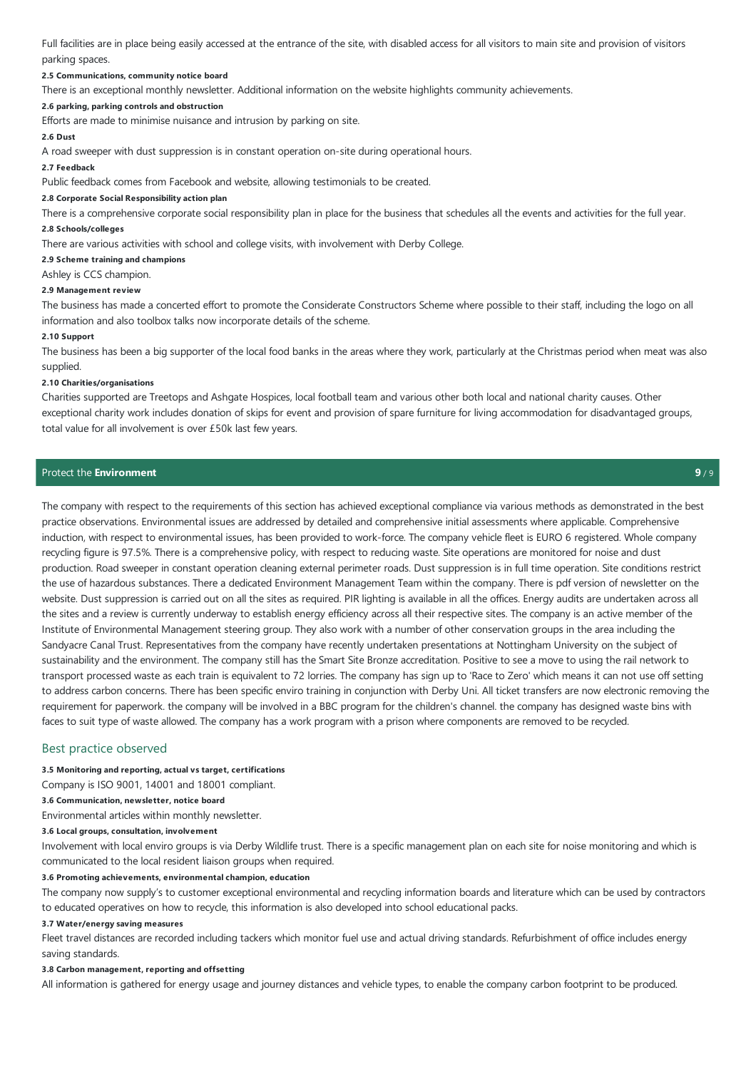Full facilities are in place being easily accessed at the entrance of the site, with disabled access for all visitors to main site and provision of visitors parking spaces.

#### **2.5 Communications, community notice board**

There is an exceptional monthly newsletter. Additional information on the website highlights community achievements.

# **2.6 parking, parking controls and obstruction**

Efforts are made to minimise nuisance and intrusion by parking on site.

#### **2.6 Dust**

A road sweeper with dust suppression is in constant operation on-site during operational hours.

#### **2.7 Feedback**

Public feedback comes from Facebook and website, allowing testimonials to be created.

#### **2.8 Corporate Social Responsibility action plan**

There is a comprehensive corporate social responsibility plan in place for the business that schedules all the events and activities for the full year.

### **2.8 Schools/colleges**

There are various activities with school and college visits, with involvement with Derby College.

#### **2.9 Scheme training and champions**

Ashley is CCS champion.

#### **2.9 Management review**

The business has made a concerted effort to promote the Considerate Constructors Scheme where possible to their staff, including the logo on all information and also toolbox talks now incorporate details of the scheme.

#### **2.10 Support**

The business has been a big supporter of the local food banks in the areas where they work, particularly at the Christmas period when meat was also supplied.

# **2.10 Charities/organisations**

Charities supported are Treetops and Ashgate Hospices, local football team and various other both local and national charity causes. Other exceptional charity work includes donation of skips for event and provision of spare furniture for living accommodation for disadvantaged groups, total value for all involvement is over £50k last few years.

# Protect the**Environment 9** / 9

The company with respect to the requirements of this section has achieved exceptional compliance via various methods as demonstrated in the best practice observations. Environmental issues are addressed by detailed and comprehensive initial assessments where applicable. Comprehensive induction, with respect to environmental issues, has been provided to work-force. The company vehicle fleet is EURO 6 registered. Whole company recycling figure is 97.5%. There is a comprehensive policy, with respect to reducing waste. Site operations are monitored for noise and dust production. Road sweeper in constant operation cleaning external perimeter roads. Dust suppression is in full time operation. Siteconditions restrict the use of hazardous substances. There a dedicated Environment Management Team within the company. There is pdf version of newsletter on the website. Dust suppression is carried out on all the sites as required. PIR lighting is available in all the offices. Energy audits are undertaken across all the sites and a review is currently underway to establish energy efficiency across all their respective sites. The company is an active member of the Institute of Environmental Management steering group. They also work with a number of other conservation groups in the area including the Sandyacre Canal Trust. Representatives from the company have recently undertaken presentations at Nottingham University on the subject of sustainability and the environment. The company still has the Smart Site Bronze accreditation. Positive to see a move to using the rail network to transport processed waste as each train is equivalent to 72 lorries. The company has sign up to 'Race to Zero' which means it can not use off setting to address carbon concerns. There has been specific enviro training in conjunction with Derby Uni. All ticket transfers are now electronic removing the requirement for paperwork. the company will be involved in a BBC program for the children's channel. the company has designed waste bins with faces to suit type of waste allowed. The company has a work program with a prison where components are removed to be recycled.

### Best practice observed

# **3.5 Monitoring and reporting, actual vs target, certifications**

Company is ISO 9001, 14001 and 18001 compliant.

#### **3.6 Communication, newsletter, notice board**

Environmental articles within monthly newsletter.

#### **3.6 Local groups, consultation, involvement**

Involvement with local enviro groups is via Derby Wildlife trust. There is a specific management plan on each site for noise monitoring and which is communicated to the local resident liaison groups when required.

#### **3.6 Promoting achievements, environmental champion, education**

The company now supply's to customer exceptional environmental and recycling information boards and literature which can be used by contractors to educated operatives on how to recycle, this information is also developed into school educational packs.

#### **3.7 Water/energy saving measures**

Fleet travel distances are recorded including tackers which monitor fuel use and actual driving standards. Refurbishment of office includes energy saving standards.

#### **3.8 Carbon management, reporting and offsetting**

All information is gathered for energy usage and journey distances and vehicle types, to enable the company carbon footprint to be produced.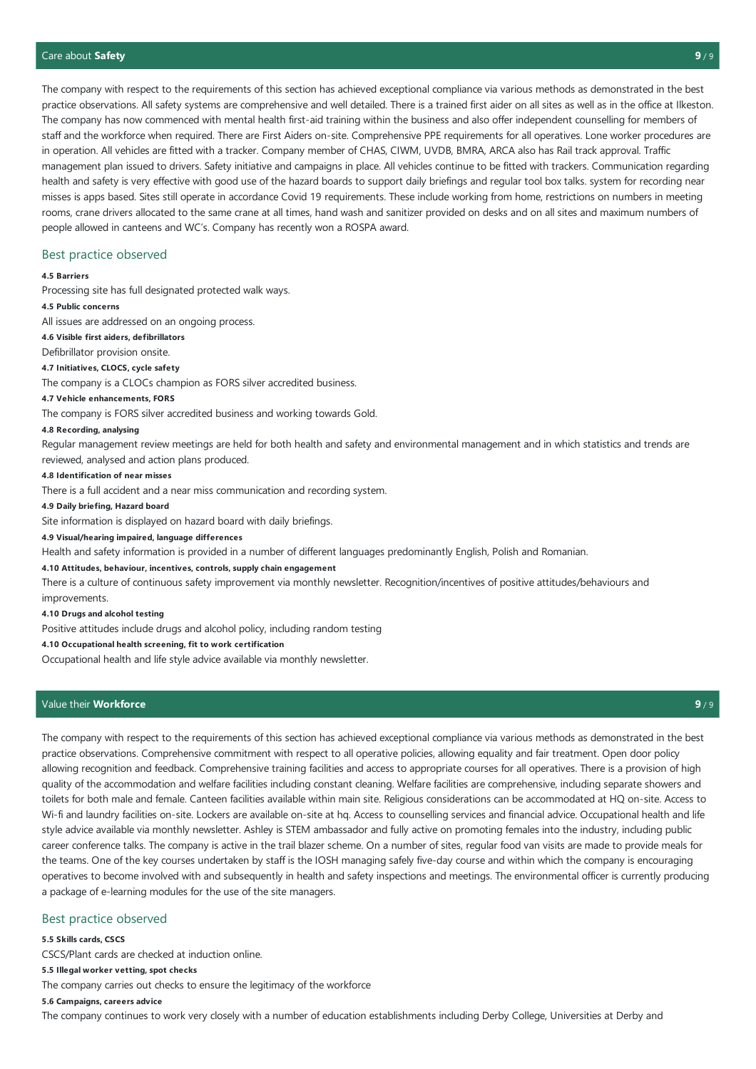The company with respect to the requirements of this section has achieved exceptional compliance via various methods as demonstrated in the best practice observations. All safety systems are comprehensive and well detailed. There is a trained first aider on all sites as well as in the office at Ilkeston. The company has now commenced with mental health first-aid training within the business and also offer independent counselling for members of staff and the workforce when required. There are First Aiders on-site. Comprehensive PPE requirements for all operatives. Lone worker procedures are in operation. All vehicles are fitted with a tracker. Company member of CHAS, CIWM, UVDB, BMRA, ARCA also has Rail track approval. Traffic management plan issued to drivers. Safety initiative and campaigns in place. All vehicles continue to be fitted with trackers. Communication regarding health and safety is very effective with good use of the hazard boards to support daily briefings and regular tool box talks. system for recording near misses is apps based. Sites still operate in accordance Covid 19 requirements. These include working from home, restrictions on numbers in meeting rooms, crane drivers allocated to the same crane at all times, hand wash and sanitizer provided on desks and on all sites and maximum numbers of people allowed in canteens and WC's. Company has recently won a ROSPA award.

# Best practice observed

#### **4.5 Barriers**

Processing site has full designated protected walk ways.

#### **4.5 Public concerns**

All issues are addressed on an ongoing process.

# **4.6 Visible first aiders, defibrillators**

Defibrillator provision onsite.

# **4.7 Initiatives, CLOCS, cycle safety**

The company is a CLOCs champion as FORS silver accredited business.

#### **4.7 Vehicle enhancements, FORS**

The company is FORS silver accredited business and working towards Gold.

#### **4.8 Recording, analysing**

Regular management review meetings are held for both health and safety and environmental management and in which statistics and trends are reviewed, analysed and action plans produced.

#### **4.8 Identification of near misses**

There is a full accident and a near miss communication and recording system.

# **4.9 Daily briefing, Hazard board**

Site information is displayed on hazard board with daily briefings.

# **4.9 Visual/hearing impaired, language differences**

Health and safety information is provided in a number of different languages predominantly English, Polish and Romanian.

#### **4.10 Attitudes, behaviour, incentives, controls, supply chain engagement**

There is a culture of continuous safety improvement via monthly newsletter. Recognition/incentives of positive attitudes/behaviours and improvements.

#### **4.10 Drugs and alcohol testing**

Positive attitudes include drugs and alcohol policy, including random testing

# **4.10 Occupational health screening, fit to work certification**

Occupational health and life style advice available via monthly newsletter.

# Valuetheir **Workforce 9** / 9

The company with respect to the requirements of this section has achieved exceptional compliance via various methods as demonstrated in the best practice observations. Comprehensive commitment with respect to all operative policies, allowing equality and fair treatment. Open door policy allowing recognition and feedback. Comprehensive training facilities and access to appropriate courses for all operatives. There is a provision of high quality of the accommodation and welfare facilities including constant cleaning. Welfare facilities are comprehensive, including separate showers and toilets for both male and female. Canteen facilities available within main site. Religious considerations can be accommodated at HQ on-site. Access to Wi-fi and laundry facilities on-site. Lockers are available on-site at hq. Access to counselling services and financial advice. Occupational health and life style advice available via monthly newsletter. Ashley is STEM ambassador and fully active on promoting females into the industry, including public career conference talks. The company is active in the trail blazer scheme. On a number of sites, regular food van visits are made to provide meals for the teams. One of the key courses undertaken by staff is the IOSH managing safely five-day course and within which the company is encouraging operatives to become involved with and subsequently in health and safety inspections and meetings. The environmental officer is currently producing a package of e-learning modules for the use of the site managers.

# Best practice observed

# **5.5 Skills cards, CSCS**

CSCS/Plant cards are checked at induction online.

#### **5.5 Illegal worker vetting, spot checks**

The company carries out checks to ensure the legitimacy of the workforce

# **5.6 Campaigns, careers advice**

The company continues to work very closely with a number of education establishments including Derby College, Universities at Derby and